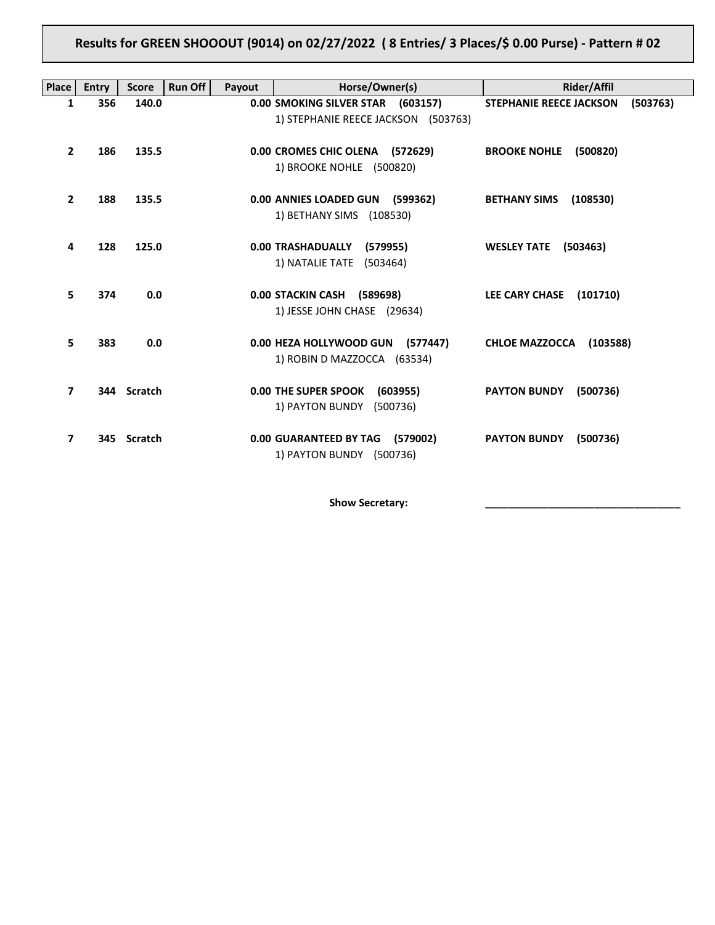## **Results for GREEN SHOOOUT (9014) on 02/27/2022 ( 8 Entries/ 3 Places/\$ 0.00 Purse) - Pattern # 02**

| <b>Place</b>            | <b>Entry</b> | <b>Score</b>   | Run Off<br>Payout | Horse/Owner(s)                                                           | Rider/Affil                                |
|-------------------------|--------------|----------------|-------------------|--------------------------------------------------------------------------|--------------------------------------------|
| 1                       | 356          | 140.0          |                   | 0.00 SMOKING SILVER STAR (603157)<br>1) STEPHANIE REECE JACKSON (503763) | (503763)<br><b>STEPHANIE REECE JACKSON</b> |
| $\mathbf{2}$            | 186          | 135.5          |                   | 0.00 CROMES CHIC OLENA (572629)<br>1) BROOKE NOHLE (500820)              | <b>BROOKE NOHLE</b><br>(500820)            |
| $\overline{2}$          | 188          | 135.5          |                   | 0.00 ANNIES LOADED GUN (599362)<br>1) BETHANY SIMS (108530)              | <b>BETHANY SIMS</b><br>(108530)            |
| 4                       | 128          | 125.0          |                   | 0.00 TRASHADUALLY<br>(579955)<br>1) NATALIE TATE (503464)                | <b>WESLEY TATE</b><br>(503463)             |
| 5                       | 374          | 0.0            |                   | 0.00 STACKIN CASH (589698)<br>1) JESSE JOHN CHASE (29634)                | LEE CARY CHASE<br>(101710)                 |
| 5                       | 383          | 0.0            |                   | 0.00 HEZA HOLLYWOOD GUN (577447)<br>1) ROBIN D MAZZOCCA (63534)          | <b>CHLOE MAZZOCCA</b><br>(103588)          |
| $\overline{\mathbf{z}}$ |              | 344 Scratch    |                   | <b>0.00 THE SUPER SPOOK</b><br>(603955)<br>1) PAYTON BUNDY<br>(500736)   | <b>PAYTON BUNDY</b><br>(500736)            |
| $\overline{7}$          | 345          | <b>Scratch</b> |                   | 0.00 GUARANTEED BY TAG (579002)<br>1) PAYTON BUNDY (500736)              | <b>PAYTON BUNDY</b><br>(500736)            |

Show Secretary: